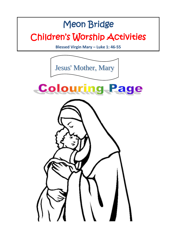# Meon Bridge Children's Worship Activities

**Blessed Virgin Mary – Luke 1: 46-55**

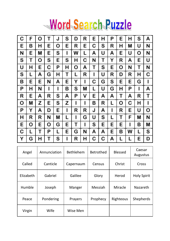# Word Search Puzzle

| С | F | о | Т | J | s | D | R | E | н | Ρ | E | н | s | А |
|---|---|---|---|---|---|---|---|---|---|---|---|---|---|---|
| E | в | н | E | о | E | R | E | с | s | R | н | M | U | N |
| N | E | М | E | s | ı | w | L | А | U | А | E | U | o | N |
| s | т | o | s | E | s | н | с | N | т | Y | R | А | E | U |
| U | н | E | с | Ρ | н | о | А | т | s | E | o | N | т | N |
| s | L | А | G | н | т | L | R | ı | U | R | D | R | н | с |
| в | E | E | N | А | E | Y | ı | с | G | s | E | E | G | ı |
| Ρ | н | N | ı | ı | в | s | M | L | U | G | н | Ρ | ı | А |
| R | E | А | R | s | А | Ρ | ٧ | E | А | А | т | А | R | т |
| о | M | z | E | s | z | ı | ı | в | R | L | о | с | н | ı |
| P | Y | А | D | E | ı | R | R | J | А | ı | R | E | U | o |
| н | R | R | N | М | L | ı | G | U | s | L | т | F | M | N |
| E | о | E | o | G | E | т | ı | s | E | E | E | ı | в | M |
| с | L | т | Ρ | L | E | G | N | А | А | E | в | W | L | s |
| Y | G | н | т | s | ı | R | н | с | с | А | L | L | E | D |

| Angel     | Annunciation | <b>Bethlehem</b> | <b>Betrothed</b> | <b>Blessed</b> | Caesar<br>Augustus |
|-----------|--------------|------------------|------------------|----------------|--------------------|
| Called    | Canticle     | Capernaum        | Census           | Christ         | Cross              |
| Elizabeth | Gabriel      | Galilee          | Glory            | Herod          | <b>Holy Spirit</b> |
| Humble    | Joseph       | Manger           | Messiah          | Miracle        | Nazareth           |
| Peace     | Pondering    | Prayers          | Prophecy         | Righteous      | Shepherds          |
| Virgin    | Wife         | Wise Men         |                  |                |                    |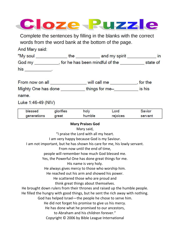

Complete the sentences by filling in the blanks with the correct words from the word bank at the bottom of the page.

And Mary said:

| "My soul | the | and my spirit                  |          |
|----------|-----|--------------------------------|----------|
| God my   |     | for he has been mindful of the | state of |
| his      |     |                                |          |

| From now on all     | will call me   | , for the |  |
|---------------------|----------------|-----------|--|
| Mighty One has done | things for me- | is his    |  |

name

Luke 1:46-49 (NIV)

| blessed     | glorifies | holy   | Lord     | Savior  |
|-------------|-----------|--------|----------|---------|
| generations | great     | humble | rejoices | servant |

#### **Mary Praises God**

Mary said,

"I praise the Lord with all my heart.

I am very happy because God is my Saviour.

I am not important, but he has shown his care for me, his lowly servant.

From now until the end of time,

people will remember how much God blessed me.

Yes, the Powerful One has done great things for me.

His name is very holy.

He always gives mercy to those who worship him.

He reached out his arm and showed his power.

He scattered those who are proud and

think great things about themselves.

He brought down rulers from their thrones and raised up the humble people.

He filled the hungry with good things, but he sent the rich away with nothing.

God has helped Israel—the people he chose to serve him.

He did not forget his promise to give us his mercy.

He has done what he promised to our ancestors,

to Abraham and his children forever."

Copyright © 2006 by Bible League International